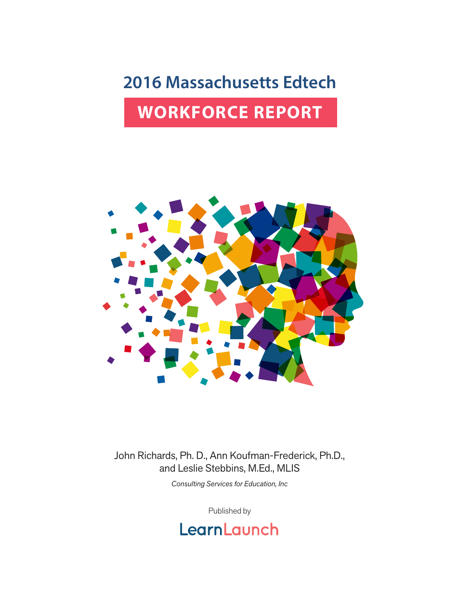## **2016 Massachusetts Edtech**

## **WORKFORCE REPORT**



John Richards, Ph. D., Ann Koufman-Frederick, Ph.D., and Leslie Stebbins, M.Ed., MLIS

*Consulting Services for Education, Inc*

Published by

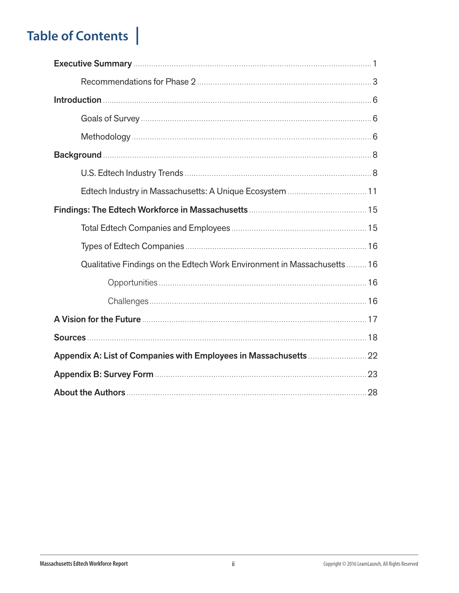## **Table of Contents |**

| Edtech Industry in Massachusetts: A Unique Ecosystem  11                 |
|--------------------------------------------------------------------------|
|                                                                          |
|                                                                          |
|                                                                          |
| Qualitative Findings on the Edtech Work Environment in Massachusetts  16 |
|                                                                          |
|                                                                          |
|                                                                          |
|                                                                          |
|                                                                          |
|                                                                          |
|                                                                          |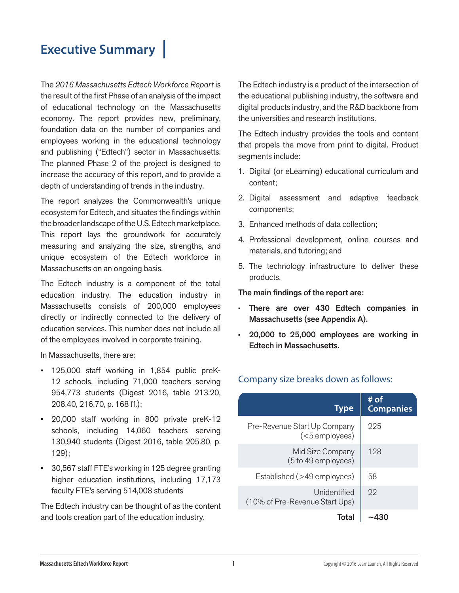## **Executive Summary |**

The *2016 Massachusetts Edtech Workforce Report* is the result of the first Phase of an analysis of the impact of educational technology on the Massachusetts economy. The report provides new, preliminary, foundation data on the number of companies and employees working in the educational technology and publishing ("Edtech") sector in Massachusetts. The planned Phase 2 of the project is designed to increase the accuracy of this report, and to provide a depth of understanding of trends in the industry.

The report analyzes the Commonwealth's unique ecosystem for Edtech, and situates the findings within the broader landscape of the U.S. Edtech marketplace. This report lays the groundwork for accurately measuring and analyzing the size, strengths, and unique ecosystem of the Edtech workforce in Massachusetts on an ongoing basis.

The Edtech industry is a component of the total education industry. The education industry in Massachusetts consists of 200,000 employees directly or indirectly connected to the delivery of education services. This number does not include all of the employees involved in corporate training.

In Massachusetts, there are:

- 125,000 staff working in 1,854 public preK-12 schools, including 71,000 teachers serving 954,773 students (Digest 2016, table 213.20, 208.40, 216.70, p. 168 ff.);
- 20,000 staff working in 800 private preK-12 schools, including 14,060 teachers serving 130,940 students (Digest 2016, table 205.80, p. 129);
- 30,567 staff FTE's working in 125 degree granting higher education institutions, including 17,173 faculty FTE's serving 514,008 students

The Edtech industry can be thought of as the content and tools creation part of the education industry.

The Edtech industry is a product of the intersection of the educational publishing industry, the software and digital products industry, and the R&D backbone from the universities and research institutions.

The Edtech industry provides the tools and content that propels the move from print to digital. Product segments include:

- 1. Digital (or eLearning) educational curriculum and content;
- 2. Digital assessment and adaptive feedback components;
- 3. Enhanced methods of data collection;
- 4. Professional development, online courses and materials, and tutoring; and
- 5. The technology infrastructure to deliver these products.

The main findings of the report are:

- There are over 430 Edtech companies in Massachusetts (see Appendix A).
- 20,000 to 25,000 employees are working in Edtech in Massachusetts.

#### Company size breaks down as follows:

| <b>Type</b>                                    | # of<br><b>Companies</b> |
|------------------------------------------------|--------------------------|
| Pre-Revenue Start Up Company<br>(<5 employees) | 225                      |
| Mid Size Company<br>(5 to 49 employees)        | 128                      |
| Established (>49 employees)                    | 58                       |
| Unidentified<br>(10% of Pre-Revenue Start Ups) | 22                       |
| Total                                          |                          |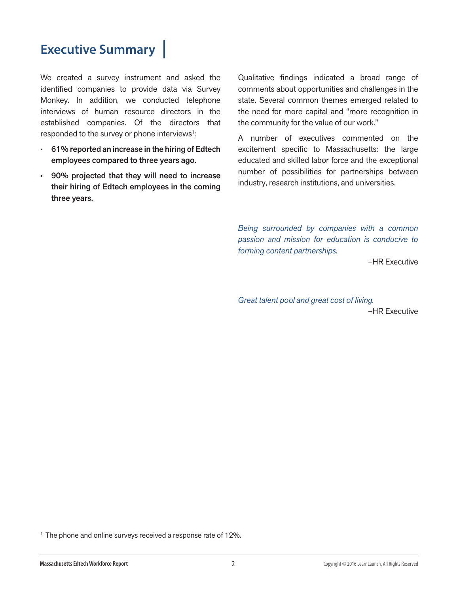## **Executive Summary |**

We created a survey instrument and asked the identified companies to provide data via Survey Monkey. In addition, we conducted telephone interviews of human resource directors in the established companies. Of the directors that responded to the survey or phone interviews<sup>1</sup>:

- 61% reported an increase in the hiring of Edtech employees compared to three years ago.
- 90% projected that they will need to increase their hiring of Edtech employees in the coming three years.

Qualitative findings indicated a broad range of comments about opportunities and challenges in the state. Several common themes emerged related to the need for more capital and "more recognition in the community for the value of our work."

A number of executives commented on the excitement specific to Massachusetts: the large educated and skilled labor force and the exceptional number of possibilities for partnerships between industry, research institutions, and universities.

*Being surrounded by companies with a common passion and mission for education is conducive to forming content partnerships.* 

*–*HR Executive

*Great talent pool and great cost of living. –*HR Executive

<sup>1</sup> The phone and online surveys received a response rate of 12%.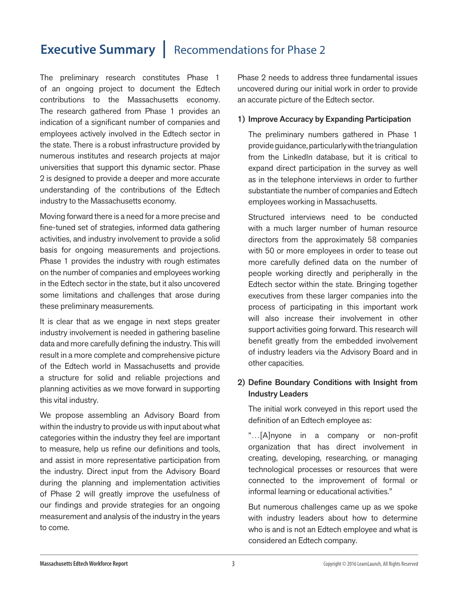## **Executive Summary | Recommendations for Phase 2**

The preliminary research constitutes Phase 1 of an ongoing project to document the Edtech contributions to the Massachusetts economy. The research gathered from Phase 1 provides an indication of a significant number of companies and employees actively involved in the Edtech sector in the state. There is a robust infrastructure provided by numerous institutes and research projects at major universities that support this dynamic sector. Phase 2 is designed to provide a deeper and more accurate understanding of the contributions of the Edtech industry to the Massachusetts economy.

Moving forward there is a need for a more precise and fine-tuned set of strategies, informed data gathering activities, and industry involvement to provide a solid basis for ongoing measurements and projections. Phase 1 provides the industry with rough estimates on the number of companies and employees working in the Edtech sector in the state, but it also uncovered some limitations and challenges that arose during these preliminary measurements.

It is clear that as we engage in next steps greater industry involvement is needed in gathering baseline data and more carefully defining the industry. This will result in a more complete and comprehensive picture of the Edtech world in Massachusetts and provide a structure for solid and reliable projections and planning activities as we move forward in supporting this vital industry.

We propose assembling an Advisory Board from within the industry to provide us with input about what categories within the industry they feel are important to measure, help us refine our definitions and tools, and assist in more representative participation from the industry. Direct input from the Advisory Board during the planning and implementation activities of Phase 2 will greatly improve the usefulness of our findings and provide strategies for an ongoing measurement and analysis of the industry in the years to come.

Phase 2 needs to address three fundamental issues uncovered during our initial work in order to provide an accurate picture of the Edtech sector.

#### 1) Improve Accuracy by Expanding Participation

The preliminary numbers gathered in Phase 1 provide guidance, particularly with the triangulation from the LinkedIn database, but it is critical to expand direct participation in the survey as well as in the telephone interviews in order to further substantiate the number of companies and Edtech employees working in Massachusetts.

Structured interviews need to be conducted with a much larger number of human resource directors from the approximately 58 companies with 50 or more employees in order to tease out more carefully defined data on the number of people working directly and peripherally in the Edtech sector within the state. Bringing together executives from these larger companies into the process of participating in this important work will also increase their involvement in other support activities going forward. This research will benefit greatly from the embedded involvement of industry leaders via the Advisory Board and in other capacities.

#### 2) Define Boundary Conditions with Insight from Industry Leaders

The initial work conveyed in this report used the definition of an Edtech employee as:

"…[A]nyone in a company or non-profit organization that has direct involvement in creating, developing, researching, or managing technological processes or resources that were connected to the improvement of formal or informal learning or educational activities."

But numerous challenges came up as we spoke with industry leaders about how to determine who is and is not an Edtech employee and what is considered an Edtech company.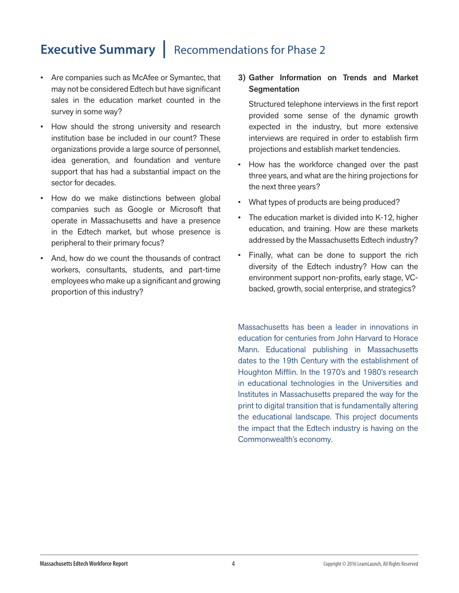## **Executive Summary | Recommendations for Phase 2**

- Are companies such as McAfee or Symantec, that may not be considered Edtech but have significant sales in the education market counted in the survey in some way?
- How should the strong university and research institution base be included in our count? These organizations provide a large source of personnel, idea generation, and foundation and venture support that has had a substantial impact on the sector for decades.
- How do we make distinctions between global companies such as Google or Microsoft that operate in Massachusetts and have a presence in the Edtech market, but whose presence is peripheral to their primary focus?
- And, how do we count the thousands of contract workers, consultants, students, and part-time employees who make up a significant and growing proportion of this industry?

#### 3) Gather Information on Trends and Market **Segmentation**

Structured telephone interviews in the first report provided some sense of the dynamic growth expected in the industry, but more extensive interviews are required in order to establish firm projections and establish market tendencies.

- How has the workforce changed over the past three years, and what are the hiring projections for the next three years?
- What types of products are being produced?
- The education market is divided into K-12, higher education, and training. How are these markets addressed by the Massachusetts Edtech industry?
- Finally, what can be done to support the rich diversity of the Edtech industry? How can the environment support non-profits, early stage, VCbacked, growth, social enterprise, and strategics?

Massachusetts has been a leader in innovations in education for centuries from John Harvard to Horace Mann. Educational publishing in Massachusetts dates to the 19th Century with the establishment of Houghton Mifflin. In the 1970's and 1980's research in educational technologies in the Universities and Institutes in Massachusetts prepared the way for the print to digital transition that is fundamentally altering the educational landscape. This project documents the impact that the Edtech industry is having on the Commonwealth's economy.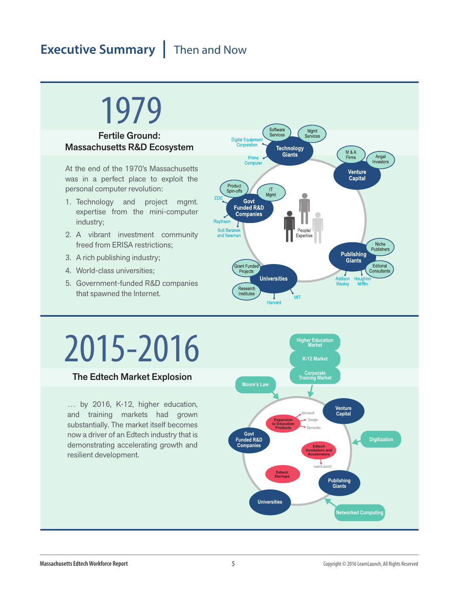## **Executive Summary** Then and Now

## 1979

#### Fertile Ground: Massachusetts R&D Ecosystem

At the end of the 1970's Massachusetts was in a perfect place to exploit the personal computer revolution:

- 1. Technology and project mgmt. expertise from the mini-computer industry;
- 2. A vibrant investment community freed from ERISA restrictions;
- 3. A rich publishing industry;
- 4. World-class universities;
- 5. Government-funded R&D companies that spawned the Internet.



# 2015-2016

#### The Edtech Market Explosion

… by 2016, K-12, higher education, and training markets had grown substantially. The market itself becomes now a driver of an Edtech industry that is demonstrating accelerating growth and resilient development.

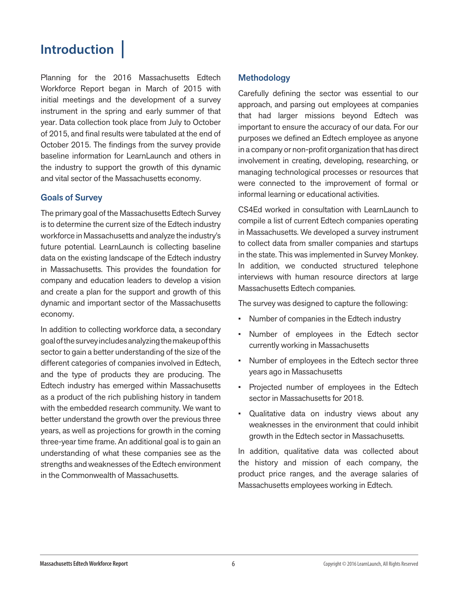## **Introduction |**

Planning for the 2016 Massachusetts Edtech Workforce Report began in March of 2015 with initial meetings and the development of a survey instrument in the spring and early summer of that year. Data collection took place from July to October of 2015, and final results were tabulated at the end of October 2015. The findings from the survey provide baseline information for LearnLaunch and others in the industry to support the growth of this dynamic and vital sector of the Massachusetts economy.

#### Goals of Survey

The primary goal of the Massachusetts Edtech Survey is to determine the current size of the Edtech industry workforce in Massachusetts and analyze the industry's future potential. LearnLaunch is collecting baseline data on the existing landscape of the Edtech industry in Massachusetts. This provides the foundation for company and education leaders to develop a vision and create a plan for the support and growth of this dynamic and important sector of the Massachusetts economy.

In addition to collecting workforce data, a secondary goal of the survey includes analyzing the makeup of this sector to gain a better understanding of the size of the different categories of companies involved in Edtech, and the type of products they are producing. The Edtech industry has emerged within Massachusetts as a product of the rich publishing history in tandem with the embedded research community. We want to better understand the growth over the previous three years, as well as projections for growth in the coming three-year time frame. An additional goal is to gain an understanding of what these companies see as the strengths and weaknesses of the Edtech environment in the Commonwealth of Massachusetts.

#### Methodology

Carefully defining the sector was essential to our approach, and parsing out employees at companies that had larger missions beyond Edtech was important to ensure the accuracy of our data. For our purposes we defined an Edtech employee as anyone in a company or non-profit organization that has direct involvement in creating, developing, researching, or managing technological processes or resources that were connected to the improvement of formal or informal learning or educational activities.

CS4Ed worked in consultation with LearnLaunch to compile a list of current Edtech companies operating in Massachusetts. We developed a survey instrument to collect data from smaller companies and startups in the state. This was implemented in Survey Monkey. In addition, we conducted structured telephone interviews with human resource directors at large Massachusetts Edtech companies.

The survey was designed to capture the following:

- Number of companies in the Edtech industry
- Number of employees in the Edtech sector currently working in Massachusetts
- Number of employees in the Edtech sector three years ago in Massachusetts
- Projected number of employees in the Edtech sector in Massachusetts for 2018.
- Qualitative data on industry views about any weaknesses in the environment that could inhibit growth in the Edtech sector in Massachusetts.

In addition, qualitative data was collected about the history and mission of each company, the product price ranges, and the average salaries of Massachusetts employees working in Edtech.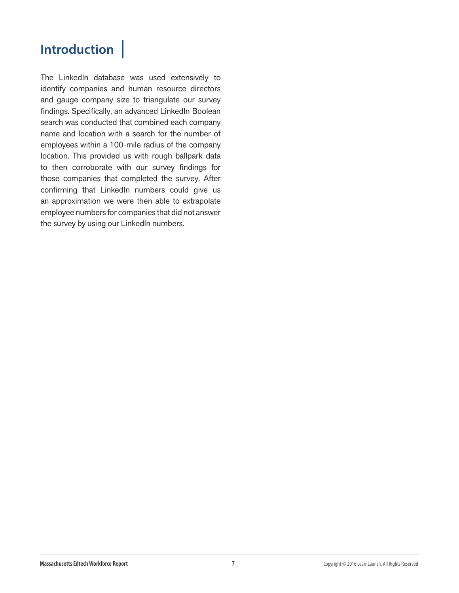## **Introduction |**

The LinkedIn database was used extensively to identify companies and human resource directors and gauge company size to triangulate our survey findings. Specifically, an advanced LinkedIn Boolean search was conducted that combined each company name and location with a search for the number of employees within a 100-mile radius of the company location. This provided us with rough ballpark data to then corroborate with our survey findings for those companies that completed the survey. After confirming that LinkedIn numbers could give us an approximation we were then able to extrapolate employee numbers for companies that did not answer the survey by using our LinkedIn numbers.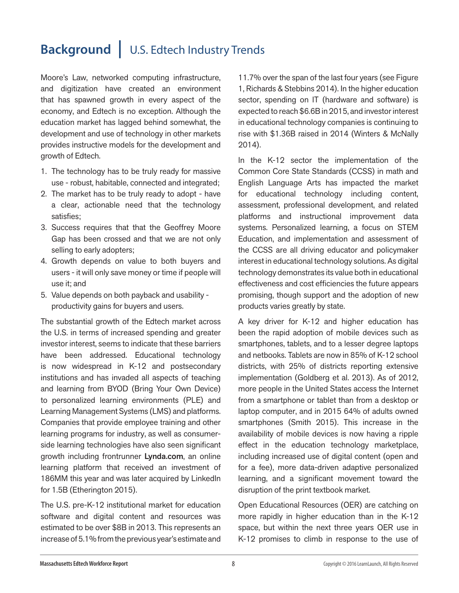## **Background |** U.S. Edtech Industry Trends

Moore's Law, networked computing infrastructure, and digitization have created an environment that has spawned growth in every aspect of the economy, and Edtech is no exception. Although the education market has lagged behind somewhat, the development and use of technology in other markets provides instructive models for the development and growth of Edtech.

- 1. The technology has to be truly ready for massive use - robust, habitable, connected and integrated;
- 2. The market has to be truly ready to adopt have a clear, actionable need that the technology satisfies;
- 3. Success requires that that the Geoffrey Moore Gap has been crossed and that we are not only selling to early adopters;
- 4. Growth depends on value to both buyers and users - it will only save money or time if people will use it; and
- 5. Value depends on both payback and usability productivity gains for buyers and users.

The substantial growth of the Edtech market across the U.S. in terms of increased spending and greater investor interest, seems to indicate that these barriers have been addressed. Educational technology is now widespread in K-12 and postsecondary institutions and has invaded all aspects of teaching and learning from BYOD (Bring Your Own Device) to personalized learning environments (PLE) and Learning Management Systems (LMS) and platforms. Companies that provide employee training and other learning programs for industry, as well as consumerside learning technologies have also seen significant growth including frontrunner Lynda.com, an online learning platform that received an investment of 186MM this year and was later acquired by LinkedIn for 1.5B (Etherington 2015).

The U.S. pre-K-12 institutional market for education software and digital content and resources was estimated to be over \$8B in 2013. This represents an increase of 5.1% from the previous year's estimate and

11.7% over the span of the last four years (see Figure 1, Richards & Stebbins 2014). In the higher education sector, spending on IT (hardware and software) is expected to reach \$6.6B in 2015, and investor interest in educational technology companies is continuing to rise with \$1.36B raised in 2014 (Winters & McNally 2014).

In the K-12 sector the implementation of the Common Core State Standards (CCSS) in math and English Language Arts has impacted the market for educational technology including content, assessment, professional development, and related platforms and instructional improvement data systems. Personalized learning, a focus on STEM Education, and implementation and assessment of the CCSS are all driving educator and policymaker interest in educational technology solutions. As digital technology demonstrates its value both in educational effectiveness and cost efficiencies the future appears promising, though support and the adoption of new products varies greatly by state.

A key driver for K-12 and higher education has been the rapid adoption of mobile devices such as smartphones, tablets, and to a lesser degree laptops and netbooks. Tablets are now in 85% of K-12 school districts, with 25% of districts reporting extensive implementation (Goldberg et al. 2013). As of 2012, more people in the United States access the Internet from a smartphone or tablet than from a desktop or laptop computer, and in 2015 64% of adults owned smartphones (Smith 2015). This increase in the availability of mobile devices is now having a ripple effect in the education technology marketplace, including increased use of digital content (open and for a fee), more data-driven adaptive personalized learning, and a significant movement toward the disruption of the print textbook market.

Open Educational Resources (OER) are catching on more rapidly in higher education than in the K-12 space, but within the next three years OER use in K-12 promises to climb in response to the use of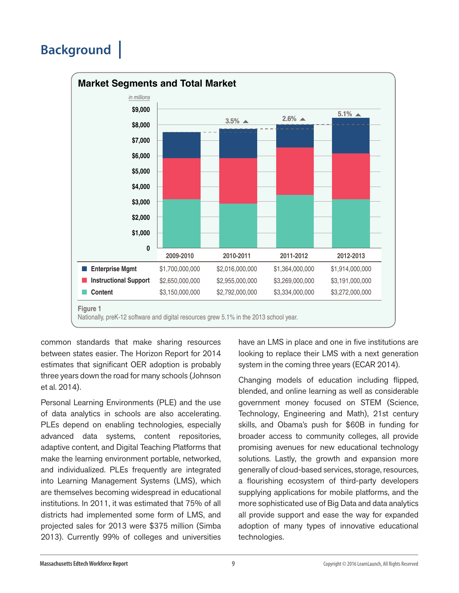## **Background |**



common standards that make sharing resources between states easier. The Horizon Report for 2014 estimates that significant OER adoption is probably three years down the road for many schools (Johnson et al. 2014).

Personal Learning Environments (PLE) and the use of data analytics in schools are also accelerating. PLEs depend on enabling technologies, especially advanced data systems, content repositories, adaptive content, and Digital Teaching Platforms that make the learning environment portable, networked, and individualized. PLEs frequently are integrated into Learning Management Systems (LMS), which are themselves becoming widespread in educational institutions. In 2011, it was estimated that 75% of all districts had implemented some form of LMS, and projected sales for 2013 were \$375 million (Simba 2013). Currently 99% of colleges and universities

have an LMS in place and one in five institutions are looking to replace their LMS with a next generation system in the coming three years (ECAR 2014).

Changing models of education including flipped, blended, and online learning as well as considerable government money focused on STEM (Science, Technology, Engineering and Math), 21st century skills, and Obama's push for \$60B in funding for broader access to community colleges, all provide promising avenues for new educational technology solutions. Lastly, the growth and expansion more generally of cloud-based services, storage, resources, a flourishing ecosystem of third-party developers supplying applications for mobile platforms, and the more sophisticated use of Big Data and data analytics all provide support and ease the way for expanded adoption of many types of innovative educational technologies.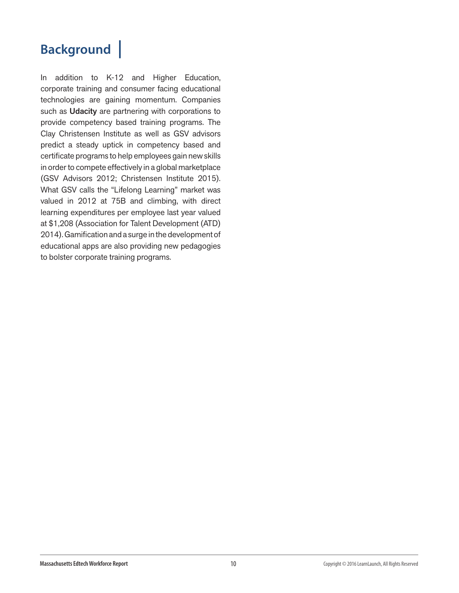## **Background |**

In addition to K-12 and Higher Education, corporate training and consumer facing educational technologies are gaining momentum. Companies such as Udacity are partnering with corporations to provide competency based training programs. The Clay Christensen Institute as well as GSV advisors predict a steady uptick in competency based and certificate programs to help employees gain new skills in order to compete effectively in a global marketplace (GSV Advisors 2012; Christensen Institute 2015). What GSV calls the "Lifelong Learning" market was valued in 2012 at 75B and climbing, with direct learning expenditures per employee last year valued at \$1,208 (Association for Talent Development (ATD) 2014). Gamification and a surge in the development of educational apps are also providing new pedagogies to bolster corporate training programs.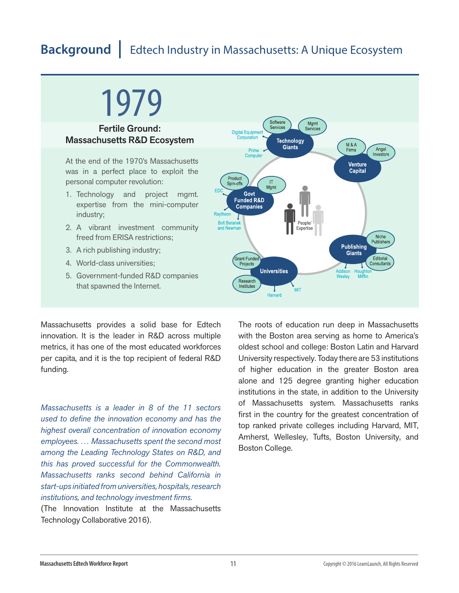## 1979

#### Fertile Ground: Massachusetts R&D Ecosystem

At the end of the 1970's Massachusetts was in a perfect place to exploit the personal computer revolution:

- 1. Technology and project mgmt. expertise from the mini-computer industry;
- 2. A vibrant investment community freed from ERISA restrictions;
- 3. A rich publishing industry;
- 4. World-class universities;
- 5. Government-funded R&D companies that spawned the Internet.

Massachusetts provides a solid base for Edtech innovation. It is the leader in R&D across multiple metrics, it has one of the most educated workforces per capita, and it is the top recipient of federal R&D funding.

*Massachusetts is a leader in 8 of the 11 sectors used to define the innovation economy and has the highest overall concentration of innovation economy employees. … Massachusetts spent the second most among the Leading Technology States on R&D, and this has proved successful for the Commonwealth. Massachusetts ranks second behind California in start-ups initiated from universities, hospitals, research institutions, and technology investment firms.*

(The Innovation Institute at the Massachusetts Technology Collaborative 2016).



The roots of education run deep in Massachusetts with the Boston area serving as home to America's oldest school and college: Boston Latin and Harvard University respectively. Today there are 53 institutions of higher education in the greater Boston area alone and 125 degree granting higher education institutions in the state, in addition to the University of Massachusetts system. Massachusetts ranks first in the country for the greatest concentration of top ranked private colleges including Harvard, MIT, Amherst, Wellesley, Tufts, Boston University, and Boston College.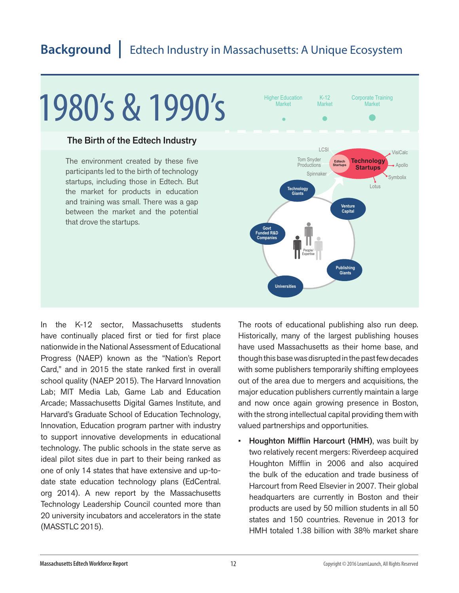# 1980's & 1990's

#### The Birth of the Edtech Industry

The environment created by these five participants led to the birth of technology startups, including those in Edtech. But the market for products in education and training was small. There was a gap between the market and the potential that drove the startups.



In the K-12 sector, Massachusetts students have continually placed first or tied for first place nationwide in the National Assessment of Educational Progress (NAEP) known as the "Nation's Report Card," and in 2015 the state ranked first in overall school quality (NAEP 2015). The Harvard Innovation Lab; MIT Media Lab, Game Lab and Education Arcade; Massachusetts Digital Games Institute, and Harvard's Graduate School of Education Technology, Innovation, Education program partner with industry to support innovative developments in educational technology. The public schools in the state serve as ideal pilot sites due in part to their being ranked as one of only 14 states that have extensive and up-todate state education technology plans (EdCentral. org 2014). A new report by the Massachusetts Technology Leadership Council counted more than 20 university incubators and accelerators in the state (MASSTLC 2015).

The roots of educational publishing also run deep. Historically, many of the largest publishing houses have used Massachusetts as their home base, and though this base was disrupted in the past few decades with some publishers temporarily shifting employees out of the area due to mergers and acquisitions, the major education publishers currently maintain a large and now once again growing presence in Boston, with the strong intellectual capital providing them with valued partnerships and opportunities.

• Houghton Mifflin Harcourt (HMH), was built by two relatively recent mergers: Riverdeep acquired Houghton Mifflin in 2006 and also acquired the bulk of the education and trade business of Harcourt from Reed Elsevier in 2007. Their global headquarters are currently in Boston and their products are used by 50 million students in all 50 states and 150 countries. Revenue in 2013 for HMH totaled 1.38 billion with 38% market share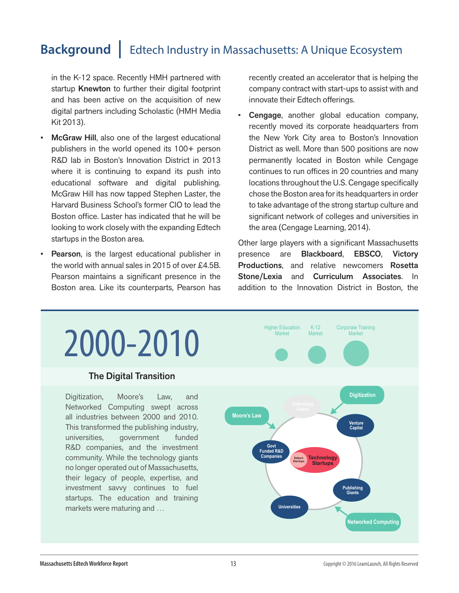in the K-12 space. Recently HMH partnered with startup Knewton to further their digital footprint and has been active on the acquisition of new digital partners including Scholastic (HMH Media Kit 2013).

- McGraw Hill, also one of the largest educational publishers in the world opened its 100+ person R&D lab in Boston's Innovation District in 2013 where it is continuing to expand its push into educational software and digital publishing. McGraw Hill has now tapped Stephen Laster, the Harvard Business School's former CIO to lead the Boston office. Laster has indicated that he will be looking to work closely with the expanding Edtech startups in the Boston area.
- **Pearson, is the largest educational publisher in** the world with annual sales in 2015 of over £4.5B. Pearson maintains a significant presence in the Boston area. Like its counterparts, Pearson has

recently created an accelerator that is helping the company contract with start-ups to assist with and innovate their Edtech offerings.

Cengage, another global education company, recently moved its corporate headquarters from the New York City area to Boston's Innovation District as well. More than 500 positions are now permanently located in Boston while Cengage continues to run offices in 20 countries and many locations throughout the U.S. Cengage specifically chose the Boston area for its headquarters in order to take advantage of the strong startup culture and significant network of colleges and universities in the area (Cengage Learning, 2014).

Other large players with a significant Massachusetts presence are Blackboard, EBSCO, Victory Productions, and relative newcomers Rosetta Stone/Lexia and Curriculum Associates. In addition to the Innovation District in Boston, the

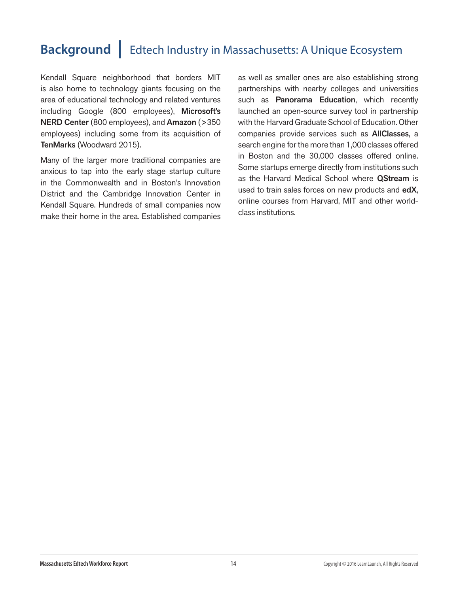Kendall Square neighborhood that borders MIT is also home to technology giants focusing on the area of educational technology and related ventures including Google (800 employees), Microsoft's NERD Center (800 employees), and Amazon (>350 employees) including some from its acquisition of TenMarks (Woodward 2015).

Many of the larger more traditional companies are anxious to tap into the early stage startup culture in the Commonwealth and in Boston's Innovation District and the Cambridge Innovation Center in Kendall Square. Hundreds of small companies now make their home in the area. Established companies as well as smaller ones are also establishing strong partnerships with nearby colleges and universities such as **Panorama Education**, which recently launched an open-source survey tool in partnership with the Harvard Graduate School of Education. Other companies provide services such as AllClasses, a search engine for the more than 1,000 classes offered in Boston and the 30,000 classes offered online. Some startups emerge directly from institutions such as the Harvard Medical School where **QStream** is used to train sales forces on new products and edX, online courses from Harvard, MIT and other worldclass institutions.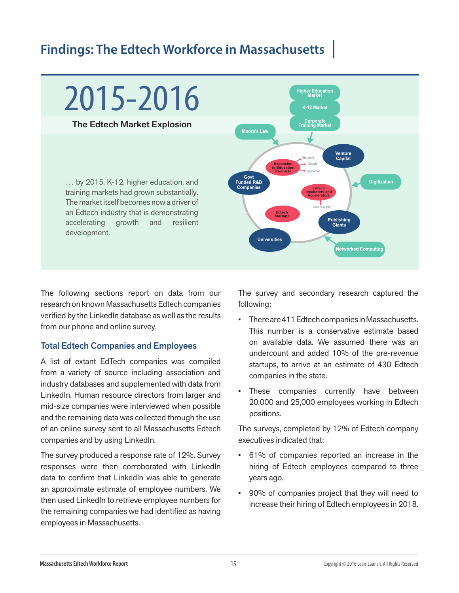## **Findings: The Edtech Workforce in Massachusetts |**



The following sections report on data from our research on known Massachusetts Edtech companies verified by the LinkedIn database as well as the results from our phone and online survey.

#### Total Edtech Companies and Employees

A list of extant EdTech companies was compiled from a variety of source including association and industry databases and supplemented with data from LinkedIn. Human resource directors from larger and mid-size companies were interviewed when possible and the remaining data was collected through the use of an online survey sent to all Massachusetts Edtech companies and by using LinkedIn.

The survey produced a response rate of 12%. Survey responses were then corroborated with LinkedIn data to confirm that LinkedIn was able to generate an approximate estimate of employee numbers. We then used LinkedIn to retrieve employee numbers for the remaining companies we had identified as having employees in Massachusetts.

The survey and secondary research captured the following:

- There are 411 Edtech companies in Massachusetts. This number is a conservative estimate based on available data. We assumed there was an undercount and added 10% of the pre-revenue startups, to arrive at an estimate of 430 Edtech companies in the state.
- These companies currently have between 20,000 and 25,000 employees working in Edtech positions.

The surveys, completed by 12% of Edtech company executives indicated that:

- 61% of companies reported an increase in the hiring of Edtech employees compared to three years ago.
- 90% of companies project that they will need to increase their hiring of Edtech employees in 2018.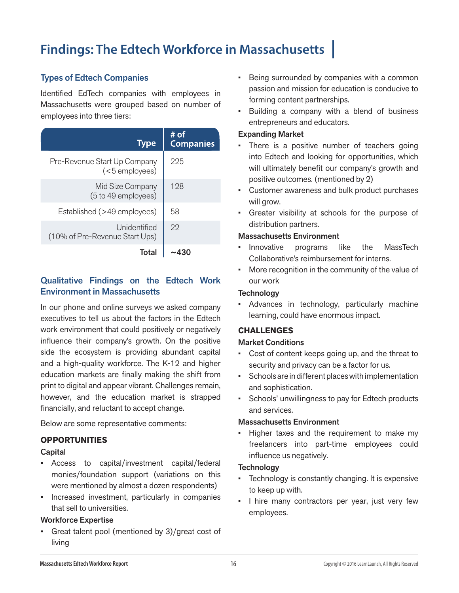## **Findings: The Edtech Workforce in Massachusetts |**

#### Types of Edtech Companies

Identified EdTech companies with employees in Massachusetts were grouped based on number of employees into three tiers:

| <b>Type</b>                                     | # of<br><b>Companies</b> |
|-------------------------------------------------|--------------------------|
| Pre-Revenue Start Up Company<br>$(5$ employees) | 225                      |
| Mid Size Company<br>(5 to 49 employees)         | 128                      |
| Established (>49 employees)                     | 58                       |
| Unidentified<br>(10% of Pre-Revenue Start Ups)  | 22                       |
| Total                                           |                          |

#### Qualitative Findings on the Edtech Work Environment in Massachusetts

In our phone and online surveys we asked company executives to tell us about the factors in the Edtech work environment that could positively or negatively influence their company's growth. On the positive side the ecosystem is providing abundant capital and a high-quality workforce. The K-12 and higher education markets are finally making the shift from print to digital and appear vibrant. Challenges remain, however, and the education market is strapped financially, and reluctant to accept change.

Below are some representative comments:

#### **OPPORTUNITIES**

#### **Capital**

- Access to capital/investment capital/federal monies/foundation support (variations on this were mentioned by almost a dozen respondents)
- Increased investment, particularly in companies that sell to universities.

#### Workforce Expertise

• Great talent pool (mentioned by 3)/great cost of living

- Being surrounded by companies with a common passion and mission for education is conducive to forming content partnerships.
- Building a company with a blend of business entrepreneurs and educators.

#### Expanding Market

- There is a positive number of teachers going into Edtech and looking for opportunities, which will ultimately benefit our company's growth and positive outcomes. (mentioned by 2)
- Customer awareness and bulk product purchases will grow.
- Greater visibility at schools for the purpose of distribution partners.

#### Massachusetts Environment

- Innovative programs like the MassTech Collaborative's reimbursement for interns.
- More recognition in the community of the value of our work

#### **Technology**

• Advances in technology, particularly machine learning, could have enormous impact.

#### **CHALLENGES**

#### Market Conditions

- Cost of content keeps going up, and the threat to security and privacy can be a factor for us.
- Schools are in different places with implementation and sophistication.
- Schools' unwillingness to pay for Edtech products and services.

#### Massachusetts Environment

• Higher taxes and the requirement to make my freelancers into part-time employees could influence us negatively.

#### **Technology**

- Technology is constantly changing. It is expensive to keep up with.
- I hire many contractors per year, just very few employees.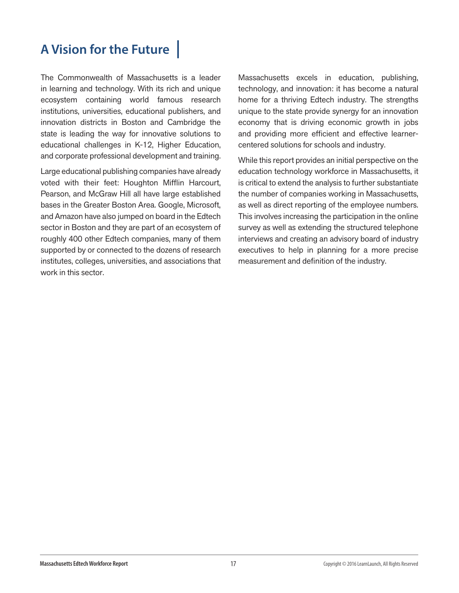## **A Vision for the Future |**

The Commonwealth of Massachusetts is a leader in learning and technology. With its rich and unique ecosystem containing world famous research institutions, universities, educational publishers, and innovation districts in Boston and Cambridge the state is leading the way for innovative solutions to educational challenges in K-12, Higher Education, and corporate professional development and training.

Large educational publishing companies have already voted with their feet: Houghton Mifflin Harcourt, Pearson, and McGraw Hill all have large established bases in the Greater Boston Area. Google, Microsoft, and Amazon have also jumped on board in the Edtech sector in Boston and they are part of an ecosystem of roughly 400 other Edtech companies, many of them supported by or connected to the dozens of research institutes, colleges, universities, and associations that work in this sector.

Massachusetts excels in education, publishing, technology, and innovation: it has become a natural home for a thriving Edtech industry. The strengths unique to the state provide synergy for an innovation economy that is driving economic growth in jobs and providing more efficient and effective learnercentered solutions for schools and industry.

While this report provides an initial perspective on the education technology workforce in Massachusetts, it is critical to extend the analysis to further substantiate the number of companies working in Massachusetts, as well as direct reporting of the employee numbers. This involves increasing the participation in the online survey as well as extending the structured telephone interviews and creating an advisory board of industry executives to help in planning for a more precise measurement and definition of the industry.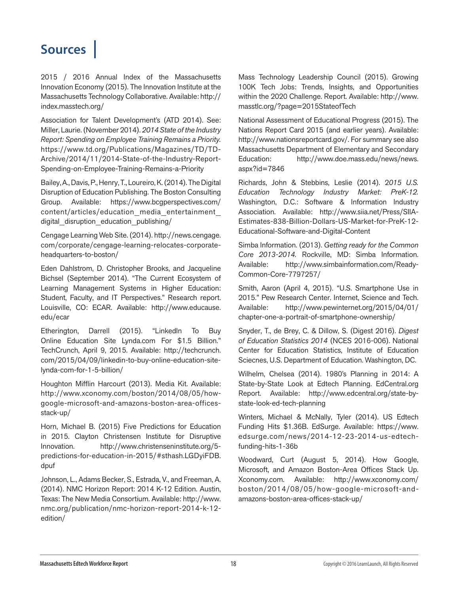## **Sources |**

2015 / 2016 Annual Index of the Massachusetts Innovation Economy (2015). The Innovation Institute at the Massachusetts Technology Collaborative. Available: http:// index.masstech.org/

Association for Talent Development's (ATD 2014). See: Miller, Laurie. (November 2014). *2014 State of the Industry Report: Spending on Employee Training Remains a Priority.* https://www.td.org/Publications/Magazines/TD/TD-Archive/2014/11/2014-State-of-the-Industry-Report-Spending-on-Employee-Training-Remains-a-Priority

Bailey, A., Davis, P., Henry, T., Loureiro, K. (2014). The Digital Disruption of Education Publishing. The Boston Consulting Group. Available: https://www.bcgperspectives.com/ content/articles/education\_media\_entertainment\_ digital disruption education publishing/

Cengage Learning Web Site. (2014). http://news.cengage. com/corporate/cengage-learning-relocates-corporateheadquarters-to-boston/

Eden Dahlstrom, D. Christopher Brooks, and Jacqueline Bichsel (September 2014). "The Current Ecosystem of Learning Management Systems in Higher Education: Student, Faculty, and IT Perspectives." Research report. Louisville, CO: ECAR. Available: http://www.educause. edu/ecar

Etherington, Darrell (2015). "LinkedIn To Buy Online Education Site Lynda.com For \$1.5 Billion." TechCrunch, April 9, 2015. Available: http://techcrunch. com/2015/04/09/linkedin-to-buy-online-education-sitelynda-com-for-1-5-billion/

Houghton Mifflin Harcourt (2013). Media Kit. Available: http://www.xconomy.com/boston/2014/08/05/howgoogle-microsoft-and-amazons-boston-area-officesstack-up/

Horn, Michael B. (2015) Five Predictions for Education in 2015. Clayton Christensen Institute for Disruptive Innovation. http://www.christenseninstitute.org/5 predictions-for-education-in-2015/#sthash.LGDyiFDB. dpuf

Johnson, L., Adams Becker, S., Estrada, V., and Freeman, A. (2014). NMC Horizon Report: 2014 K-12 Edition. Austin, Texas: The New Media Consortium. Available: http://www. nmc.org/publication/nmc-horizon-report-2014-k-12 edition/

Mass Technology Leadership Council (2015). Growing 100K Tech Jobs: Trends, Insights, and Opportunities within the 2020 Challenge. Report. Available: http://www. masstlc.org/?page=2015StateofTech

National Assessment of Educational Progress (2015). The Nations Report Card 2015 (and earlier years). Available: http://www.nationsreportcard.gov/. For summary see also Massachusetts Department of Elementary and Secondary Education: http://www.doe.mass.edu/news/news. aspx?id=7846

Richards, John & Stebbins, Leslie (2014). 2*015 U.S. Education Technology Industry Market: PreK-12.* Washington, D.C.: Software & Information Industry Association. Available: http://www.siia.net/Press/SIIA-Estimates-838-Billion-Dollars-US-Market-for-PreK-12- Educational-Software-and-Digital-Content

Simba Information. (2013). *Getting ready for the Common Core 2013-2014.* Rockville, MD: Simba Information. Available: http://www.simbainformation.com/Ready-Common-Core-7797257/

Smith, Aaron (April 4, 2015). "U.S. Smartphone Use in 2015." Pew Research Center. Internet, Science and Tech. Available: http://www.pewinternet.org/2015/04/01/ chapter-one-a-portrait-of-smartphone-ownership/

Snyder, T., de Brey, C. & Dillow, S. (Digest 2016). *Digest of Education Statistics 2014* (NCES 2016-006). National Center for Education Statistics, Institute of Education Sciecnes, U.S. Department of Education. Washington, DC.

Wilhelm, Chelsea (2014). 1980's Planning in 2014: A State-by-State Look at Edtech Planning. EdCentral.org Report. Available: http://www.edcentral.org/state-bystate-look-ed-tech-planning

Winters, Michael & McNally, Tyler (2014). US Edtech Funding Hits \$1.36B. EdSurge. Available: https://www. edsurge.com/news/2014-12-23-2014-us-edtechfunding-hits-1-36b

Woodward, Curt (August 5, 2014). How Google, Microsoft, and Amazon Boston-Area Offices Stack Up. Xconomy.com. Available: http://www.xconomy.com/ boston/2014/08/05/how-google-microsoft-andamazons-boston-area-offices-stack-up/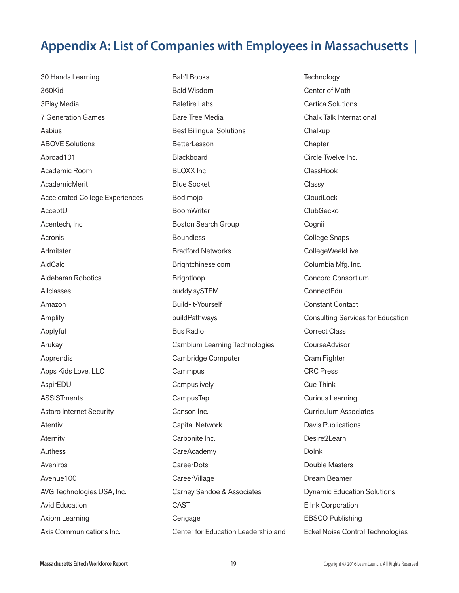30 Hands Learning 360Kid 3Play Media 7 Generation Games Aabius ABOVE Solutions Abroad101 Academic Room AcademicMerit Accelerated College Experiences AcceptU Acentech, Inc. Acronis Admitster AidCalc Aldebaran Robotics Allclasses Amazon Amplify Applyful Arukay Apprendis Apps Kids Love, LLC AspirEDU **ASSISTments** Astaro Internet Security Atentiv Aternity Authess Aveniros Avenue100 AVG Technologies USA, Inc. Avid Education Axiom Learning Axis Communications Inc.

Bab'l Books Bald Wisdom Balefire Labs Bare Tree Media Best Bilingual Solutions **BetterLesson** Blackboard BLOXX Inc Blue Socket Bodimojo **BoomWriter** Boston Search Group **Boundless** Bradford Networks Brightchinese.com Brightloop buddy sySTEM Build-It-Yourself buildPathways Bus Radio Cambium Learning Technologies Cambridge Computer **Cammpus Campuslively** CampusTap Canson Inc. Capital Network Carbonite Inc. CareAcademy **CareerDots** CareerVillage Carney Sandoe & Associates **CAST** Cengage Center for Education Leadership and **Technology** Center of Math Certica Solutions Chalk Talk International Chalkup **Chapter** Circle Twelve Inc. **ClassHook** Classy **CloudLock** ClubGecko Cognii College Snaps CollegeWeekLive Columbia Mfg. Inc. Concord Consortium ConnectEdu Constant Contact Consulting Services for Education Correct Class CourseAdvisor Cram Fighter CRC Press Cue Think Curious Learning Curriculum Associates Davis Publications Desire2Learn DoInk Double Masters Dream Beamer Dynamic Education Solutions E Ink Corporation EBSCO Publishing Eckel Noise Control Technologies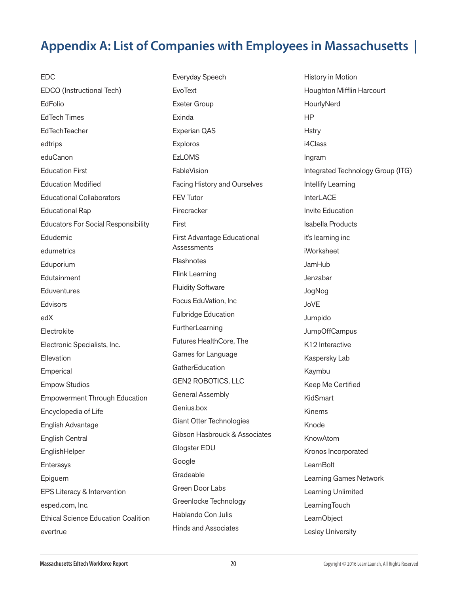EDC EDCO (Instructional Tech) EdFolio EdTech Times EdTechTeacher edtrips eduCanon Education First Education Modified Educational Collaborators Educational Rap Educators For Social Responsibility Edudemic edumetrics Eduporium **Edutainment Eduventures** Edvisors edX Electrokite Electronic Specialists, Inc. Ellevation Emperical Empow Studios Empowerment Through Education Encyclopedia of Life English Advantage English Central **EnglishHelper** Enterasys Epiguem EPS Literacy & Intervention esped.com, Inc. Ethical Science Education Coalition evertrue

Everyday Speech **EvoText** Exeter Group Exinda Experian QAS Exploros **EzLOMS FableVision** Facing History and Ourselves FEV Tutor Firecracker First First Advantage Educational **Assessments Flashnotes** Flink Learning Fluidity Software Focus EduVation, Inc Fulbridge Education **FurtherLearning** Futures HealthCore, The Games for Language **GatherEducation** GEN2 ROBOTICS, LLC General Assembly Genius.box Giant Otter Technologies Gibson Hasbrouck & Associates Glogster EDU Google **Gradeable** Green Door Labs Greenlocke Technology Hablando Con Julis Hinds and Associates

History in Motion Houghton Mifflin Harcourt **HourlyNerd** HP **Hstry** i4Class Ingram Integrated Technology Group (ITG) Intellify Learning **InterLACE** Invite Education Isabella Products it's learning inc iWorksheet JamHub Jenzabar JogNog JoVE Jumpido JumpOffCampus K12 Interactive Kaspersky Lab Kaymbu Keep Me Certified KidSmart Kinems Knode KnowAtom Kronos Incorporated **LearnBolt** Learning Games Network Learning Unlimited **LearningTouch LearnObject** Lesley University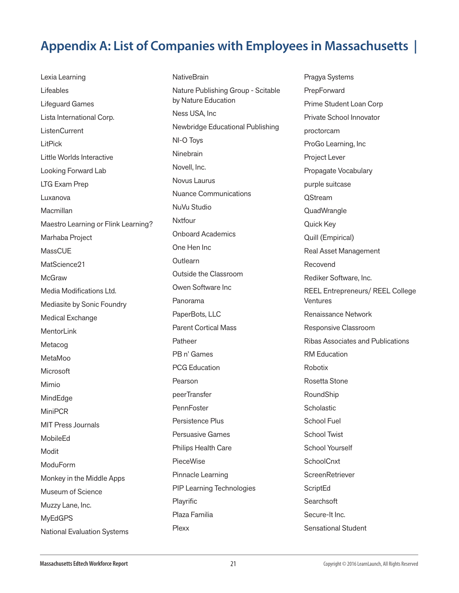Lexia Learning Lifeables Lifeguard Games Lista International Corp. ListenCurrent LitPick Little Worlds Interactive Looking Forward Lab LTG Exam Prep Luxanova Macmillan Maestro Learning or Flink Learning? Marhaba Project **MassCUE** MatScience21 **McGraw** Media Modifications Ltd. Mediasite by Sonic Foundry Medical Exchange **MentorLink** Metacog MetaMoo Microsoft Mimio MindEdge MiniPCR MIT Press Journals MobileEd Modit ModuForm Monkey in the Middle Apps Museum of Science Muzzy Lane, Inc. MyEdGPS National Evaluation Systems

**NativeBrain** Nature Publishing Group - Scitable by Nature Education Ness USA, Inc Newbridge Educational Publishing NI-O Toys **Ninebrain** Novell, Inc. Novus Laurus Nuance Communications NuVu Studio Nxtfour Onboard Academics One Hen Inc **Outlearn** Outside the Classroom Owen Software Inc Panorama PaperBots, LLC Parent Cortical Mass **Patheer** PB n' Games PCG Education Pearson peerTransfer **PennFoster** Persistence Plus Persuasive Games Philips Health Care PieceWise Pinnacle Learning PIP Learning Technologies Playrific Plaza Familia Plexx

Pragya Systems **PrepForward** Prime Student Loan Corp Private School Innovator proctorcam ProGo Learning, Inc Project Lever Propagate Vocabulary purple suitcase **OStream QuadWrangle** Quick Key Quill (Empirical) Real Asset Management Recovend Rediker Software, Inc. REEL Entrepreneurs/ REEL College Ventures Renaissance Network Responsive Classroom Ribas Associates and Publications RM Education Robotix Rosetta Stone RoundShip **Scholastic** School Fuel School Twist School Yourself **SchoolCnxt ScreenRetriever ScriptEd Searchsoft** Secure-It Inc. Sensational Student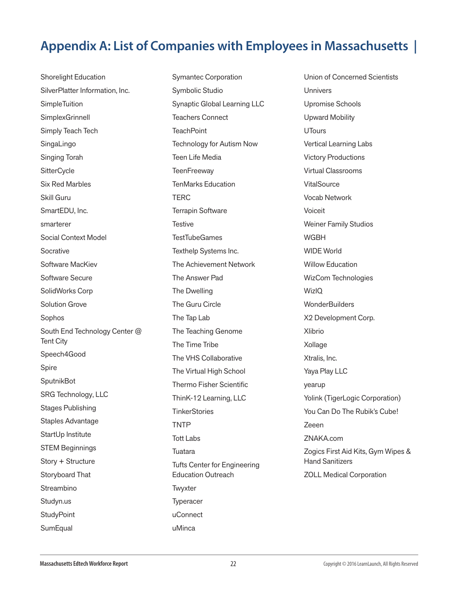Shorelight Education SilverPlatter Information, Inc. **SimpleTuition SimplexGrinnell** Simply Teach Tech SingaLingo Singing Torah **SitterCycle** Six Red Marbles Skill Guru SmartEDU, Inc. smarterer Social Context Model Socrative Software MacKiev Software Secure SolidWorks Corp Solution Grove Sophos South End Technology Center @ Tent City Speech4Good Spire SputnikBot SRG Technology, LLC Stages Publishing Staples Advantage StartUp Institute STEM Beginnings Story + Structure Storyboard That Streambino Studyn.us **StudyPoint SumEqual** 

Symantec Corporation Symbolic Studio Synaptic Global Learning LLC Teachers Connect **TeachPoint** Technology for Autism Now Teen Life Media **TeenFreeway** TenMarks Education TERC Terrapin Software **Testive TestTubeGames** Texthelp Systems Inc. The Achievement Network The Answer Pad The Dwelling The Guru Circle The Tap Lab The Teaching Genome The Time Tribe The VHS Collaborative The Virtual High School Thermo Fisher Scientific ThinK-12 Learning, LLC **TinkerStories** TNTP Tott Labs **Tuatara** Tufts Center for Engineering Education Outreach **Twyxter Typeracer** uConnect uMinca

Union of Concerned Scientists Unnivers Upromise Schools Upward Mobility **UTours** Vertical Learning Labs Victory Productions Virtual Classrooms **VitalSource** Vocab Network Voiceit Weiner Family Studios **WGBH** WIDE World Willow Education WizCom Technologies **WizIO WonderBuilders** X2 Development Corp. Xlibrio Xollage Xtralis, Inc. Yaya Play LLC yearup Yolink (TigerLogic Corporation) You Can Do The Rubik's Cube! Zeeen ZNAKA.com Zogics First Aid Kits, Gym Wipes & Hand Sanitizers ZOLL Medical Corporation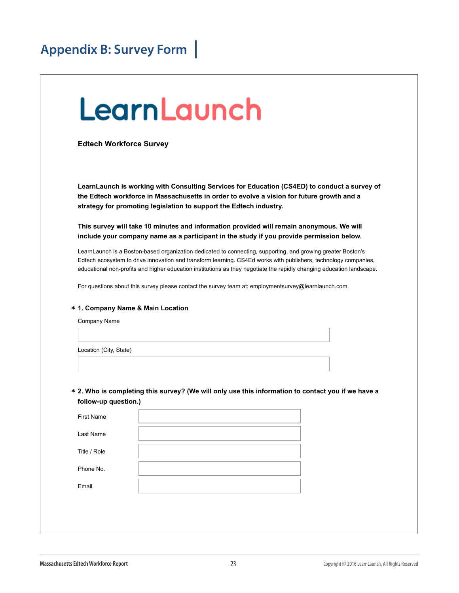## LearnLaunch

**Edtech Workforce Survey**

**LearnLaunch is working with Consulting Services for Education (CS4ED) to conduct a survey of the Edtech workforce in Massachusetts in order to evolve a vision for future growth and a strategy for promoting legislation to support the Edtech industry.**

**This survey will take 10 minutes and information provided will remain anonymous. We will include your company name as a participant in the study if you provide permission below.**

LearnLaunch is a Boston-based organization dedicated to connecting, supporting, and growing greater Boston's Edtech ecosystem to drive innovation and transform learning. CS4Ed works with publishers, technology companies, educational non-profits and higher education institutions as they negotiate the rapidly changing education landscape.

For questions about this survey please contact the survey team at: employmentsurvey@learnlaunch.com.

#### **\* 1. Company Name & Main Location**

Company Name

Location (City, State)

**2. Who is completing this survey? (We will only use this information to contact you if we have a \* follow-up question.)**

| <b>First Name</b> |  |
|-------------------|--|
| Last Name         |  |
| Title / Role      |  |
| Phone No.         |  |
| Email             |  |
|                   |  |

1 of 5  $\pm$  5  $\pm$  5  $\pm$  5  $\pm$  5  $\pm$  5  $\pm$  5  $\pm$  5  $\pm$  5  $\pm$  5  $\pm$  5  $\pm$  5  $\pm$  5  $\pm$  5  $\pm$  5  $\pm$  5  $\pm$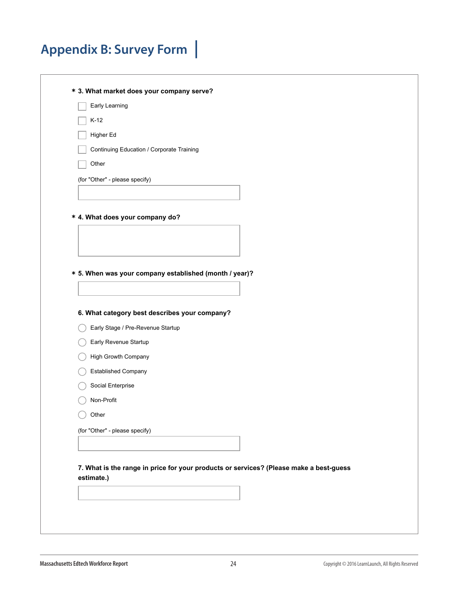**\* 3. What market does your company serve?**

| Early Learning |
|----------------|
|                |

 $\top$  K-12

| Higher Ed |
|-----------|
|-----------|

| Continuing Education / Corporate Training |  |  |
|-------------------------------------------|--|--|
|                                           |  |  |

Other

(for "Other" - please specify)

**\* 4. What does your company do?**

**\* 5. When was your company established (month / year)?**

**6. What category best describes your company?**

- Early Stage / Pre-Revenue Startup
- Early Revenue Startup
- **High Growth Company**
- Established Company
- Social Enterprise
- Non-Profit
- $\bigcirc$  Other

**7. What is the range in price for your products or services? (Please make a best-guess estimate.)**

 $2 \times 5$  10/27/15 11:48 AM and  $2 \times 5$  10/27/15 11:48 AM and  $2 \times 5$  10/27/15 11:48 AM and  $2 \times 5$  11:48 AM and  $2 \times 5$  11:48 AM and  $2 \times 5$  11:48 AM and  $2 \times 5$  11:48 AM and  $2 \times 5$  11:48 AM and  $2 \times 5$  11:48 AM and  $2 \times$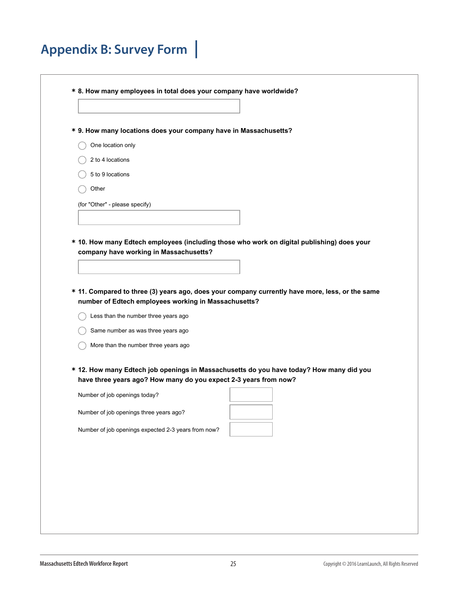|                                | * 9. How many locations does your company have in Massachusetts?                                                                                        |  |  |
|--------------------------------|---------------------------------------------------------------------------------------------------------------------------------------------------------|--|--|
| One location only              |                                                                                                                                                         |  |  |
| 2 to 4 locations               |                                                                                                                                                         |  |  |
| 5 to 9 locations               |                                                                                                                                                         |  |  |
| Other                          |                                                                                                                                                         |  |  |
| (for "Other" - please specify) |                                                                                                                                                         |  |  |
|                                |                                                                                                                                                         |  |  |
|                                |                                                                                                                                                         |  |  |
|                                | * 10. How many Edtech employees (including those who work on digital publishing) does your<br>company have working in Massachusetts?                    |  |  |
|                                |                                                                                                                                                         |  |  |
|                                |                                                                                                                                                         |  |  |
|                                |                                                                                                                                                         |  |  |
|                                |                                                                                                                                                         |  |  |
|                                | * 11. Compared to three (3) years ago, does your company currently have more, less, or the same<br>number of Edtech employees working in Massachusetts? |  |  |
|                                | Less than the number three years ago                                                                                                                    |  |  |
|                                | Same number as was three years ago                                                                                                                      |  |  |
|                                | More than the number three years ago                                                                                                                    |  |  |
|                                |                                                                                                                                                         |  |  |
|                                | * 12. How many Edtech job openings in Massachusetts do you have today? How many did you                                                                 |  |  |
| Number of job openings today?  | have three years ago? How many do you expect 2-3 years from now?                                                                                        |  |  |
|                                |                                                                                                                                                         |  |  |
|                                | Number of job openings three years ago?                                                                                                                 |  |  |
|                                | Number of job openings expected 2-3 years from now?                                                                                                     |  |  |
|                                |                                                                                                                                                         |  |  |
|                                |                                                                                                                                                         |  |  |

 $\overline{1}$  of 5  $\overline{1}$  10/27/15 11:48  $\overline{1}$  10/27/15 11:48  $\overline{1}$  10/27/15 11:48  $\overline{1}$  10/27/15 11:48  $\overline{1}$  10/27/15 11:48  $\overline{1}$  10/27/15 11:48  $\overline{1}$  10/27/15 11:48  $\overline{1}$  10/27/15 11:48  $\overline{1}$  10/27/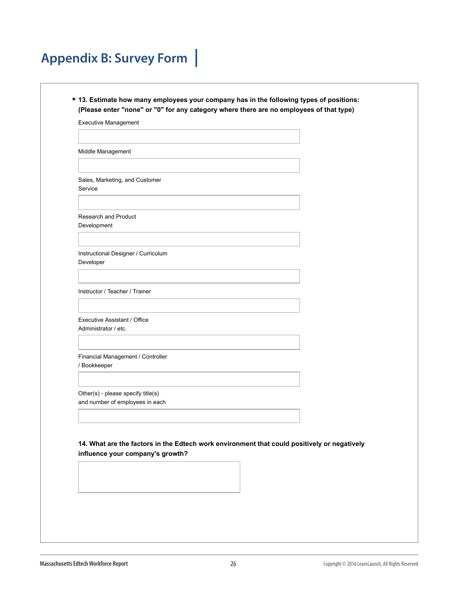| * 13. Estimate how many employees your company has in the following types of positions: |
|-----------------------------------------------------------------------------------------|
| (Please enter "none" or "0" for any category where there are no employees of that type) |

Executive Management

Middle Management

Sales, Marketing, and Customer Service

Research and Product Development

Instructional Designer / Curriculum Developer

Instructor / Teacher / Trainer

Executive Assistant / Office Administrator / etc.

Financial Management / Controller / Bookkeeper

Other(s) - please specify title(s) and number of employees in each

**14. What are the factors in the Edtech work environment that could positively or negatively influence your company's growth?**

 $\mathcal{A} = \mathcal{A} \cup \mathcal{A} \cup \mathcal{A} \cup \mathcal{A}$  of  $\mathcal{A} = \mathcal{A} \cup \mathcal{A} \cup \mathcal{A} \cup \mathcal{A} \cup \mathcal{A}$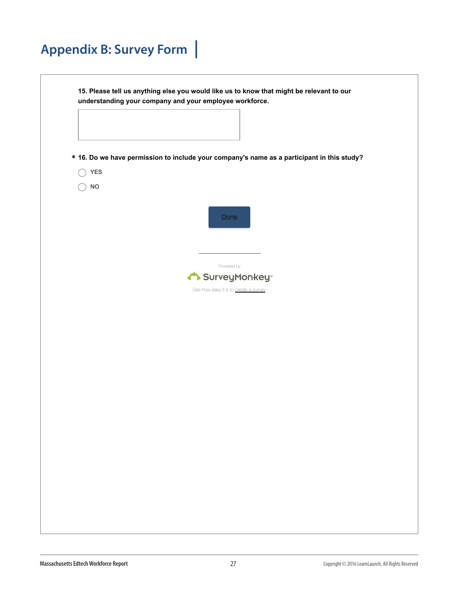|      | * 16. Do we have permission to include your company's name as a participant in this study? |
|------|--------------------------------------------------------------------------------------------|
| YES  |                                                                                            |
| $NO$ |                                                                                            |
|      | Done                                                                                       |
|      |                                                                                            |
|      | Powered by                                                                                 |
|      | SurveyMonkey <sup>®</sup>                                                                  |
|      | See how easy it is to create a survey.                                                     |
|      |                                                                                            |
|      |                                                                                            |
|      |                                                                                            |
|      |                                                                                            |
|      |                                                                                            |
|      |                                                                                            |
|      |                                                                                            |
|      |                                                                                            |
|      |                                                                                            |
|      |                                                                                            |
|      |                                                                                            |
|      |                                                                                            |
|      |                                                                                            |
|      |                                                                                            |
|      |                                                                                            |
|      |                                                                                            |

 $\mathcal{L}_{\mathcal{A}}$  of  $\mathcal{A}_{\mathcal{A}}$  is the set  $\mathcal{A}_{\mathcal{A}}$  and  $\mathcal{A}_{\mathcal{A}}$  and  $\mathcal{A}_{\mathcal{A}}$  and  $\mathcal{A}_{\mathcal{A}}$  and  $\mathcal{A}_{\mathcal{A}}$  and  $\mathcal{A}_{\mathcal{A}}$  and  $\mathcal{A}_{\mathcal{A}}$  and  $\mathcal{A}_{\mathcal{A}}$  and  $\mathcal{A}_{\mathcal{A}}$  and  $\mathcal{A$